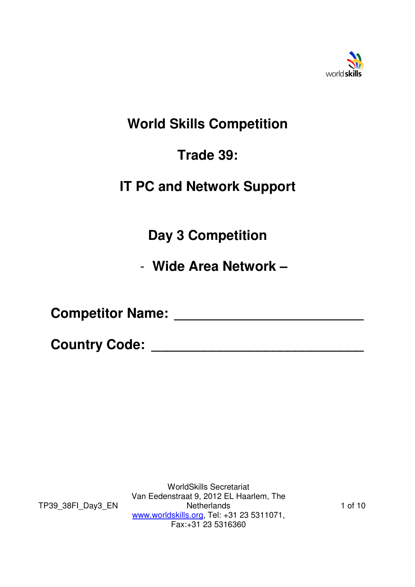

# **World Skills Competition**

# **Trade 39:**

# **IT PC and Network Support**

**Day 3 Competition** 

- **Wide Area Network –** 

**Competitor Name: \_\_\_\_\_\_\_\_\_\_\_\_\_\_\_\_\_\_\_\_\_\_\_\_\_** 

**Country Code: \_\_\_\_\_\_\_\_\_\_\_\_\_\_\_\_\_\_\_\_\_\_\_\_\_\_\_\_** 

TP39\_38FI\_Day3\_EN

WorldSkills Secretariat Van Eedenstraat 9, 2012 EL Haarlem, The **Netherlands** www.worldskills.org, Tel: +31 23 5311071, Fax:+31 23 5316360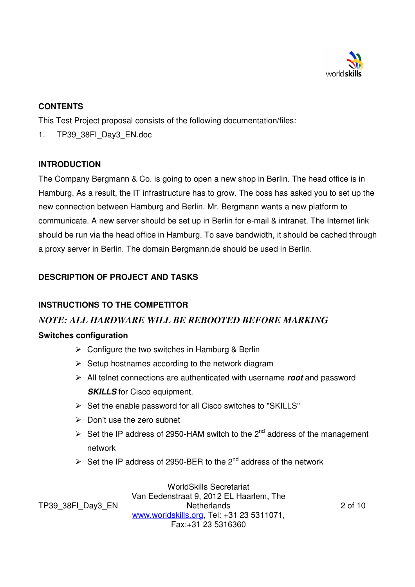

### **CONTENTS**

This Test Project proposal consists of the following documentation/files:

1. TP39 38FI Day3 EN.doc

## **INTRODUCTION**

The Company Bergmann & Co. is going to open a new shop in Berlin. The head office is in Hamburg. As a result, the IT infrastructure has to grow. The boss has asked you to set up the new connection between Hamburg and Berlin. Mr. Bergmann wants a new platform to communicate. A new server should be set up in Berlin for e-mail & intranet. The Internet link should be run via the head office in Hamburg. To save bandwidth, it should be cached through a proxy server in Berlin. The domain Bergmann.de should be used in Berlin.

# **DESCRIPTION OF PROJECT AND TASKS**

## **INSTRUCTIONS TO THE COMPETITOR**

## *NOTE: ALL HARDWARE WILL BE REBOOTED BEFORE MARKING*

### **Switches configuration**

- $\triangleright$  Configure the two switches in Hamburg & Berlin
- $\triangleright$  Setup hostnames according to the network diagram
- All telnet connections are authenticated with username **root** and password **SKILLS** for Cisco equipment.
- $\triangleright$  Set the enable password for all Cisco switches to "SKILLS"
- $\triangleright$  Don't use the zero subnet
- Set the IP address of 2950-HAM switch to the  $2^{nd}$  address of the management network
- $\triangleright$  Set the IP address of 2950-BER to the 2<sup>nd</sup> address of the network

TP39\_38FI\_Day3\_EN

WorldSkills Secretariat Van Eedenstraat 9, 2012 EL Haarlem, The **Netherlands** www.worldskills.org, Tel: +31 23 5311071, Fax:+31 23 5316360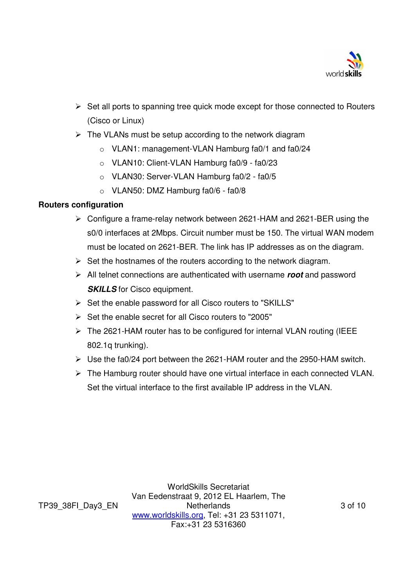

- $\triangleright$  Set all ports to spanning tree quick mode except for those connected to Routers (Cisco or Linux)
- $\triangleright$  The VLANs must be setup according to the network diagram
	- o VLAN1: management-VLAN Hamburg fa0/1 and fa0/24
	- o VLAN10: Client-VLAN Hamburg fa0/9 fa0/23
	- o VLAN30: Server-VLAN Hamburg fa0/2 fa0/5
	- o VLAN50: DMZ Hamburg fa0/6 fa0/8

### **Routers configuration**

- $\triangleright$  Configure a frame-relay network between 2621-HAM and 2621-BER using the s0/0 interfaces at 2Mbps. Circuit number must be 150. The virtual WAN modem must be located on 2621-BER. The link has IP addresses as on the diagram.
- $\triangleright$  Set the hostnames of the routers according to the network diagram.
- All telnet connections are authenticated with username **root** and password **SKILLS** for Cisco equipment.
- $\triangleright$  Set the enable password for all Cisco routers to "SKILLS"
- $\triangleright$  Set the enable secret for all Cisco routers to "2005"
- $\triangleright$  The 2621-HAM router has to be configured for internal VLAN routing (IEEE 802.1q trunking).
- Use the fa0/24 port between the 2621-HAM router and the 2950-HAM switch.
- The Hamburg router should have one virtual interface in each connected VLAN. Set the virtual interface to the first available IP address in the VLAN.

WorldSkills Secretariat Van Eedenstraat 9, 2012 EL Haarlem, The **Netherlands** www.worldskills.org, Tel: +31 23 5311071, Fax:+31 23 5316360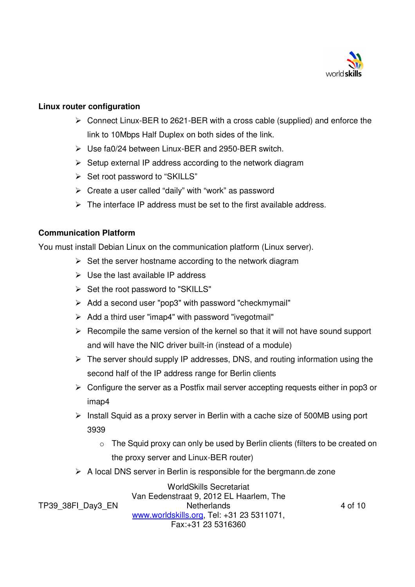

#### **Linux router configuration**

- Connect Linux-BER to 2621-BER with a cross cable (supplied) and enforce the link to 10Mbps Half Duplex on both sides of the link.
- $\triangleright$  Use fa0/24 between Linux-BER and 2950-BER switch.
- $\triangleright$  Setup external IP address according to the network diagram
- $\triangleright$  Set root password to "SKILLS"
- $\triangleright$  Create a user called "daily" with "work" as password
- $\triangleright$  The interface IP address must be set to the first available address.

#### **Communication Platform**

You must install Debian Linux on the communication platform (Linux server).

- $\triangleright$  Set the server hostname according to the network diagram
- $\triangleright$  Use the last available IP address
- $\triangleright$  Set the root password to "SKILLS"
- $\triangleright$  Add a second user "pop3" with password "checkmymail"
- $\triangleright$  Add a third user "imap4" with password "ivegotmail"
- $\triangleright$  Recompile the same version of the kernel so that it will not have sound support and will have the NIC driver built-in (instead of a module)
- $\triangleright$  The server should supply IP addresses, DNS, and routing information using the second half of the IP address range for Berlin clients
- $\triangleright$  Configure the server as a Postfix mail server accepting requests either in pop3 or imap4
- $\triangleright$  Install Squid as a proxy server in Berlin with a cache size of 500MB using port 3939
	- o The Squid proxy can only be used by Berlin clients (filters to be created on the proxy server and Linux-BER router)
- $\triangleright$  A local DNS server in Berlin is responsible for the bergmann.de zone

TP39\_38FI\_Day3\_EN

WorldSkills Secretariat Van Eedenstraat 9, 2012 EL Haarlem, The **Netherlands** www.worldskills.org, Tel: +31 23 5311071, Fax:+31 23 5316360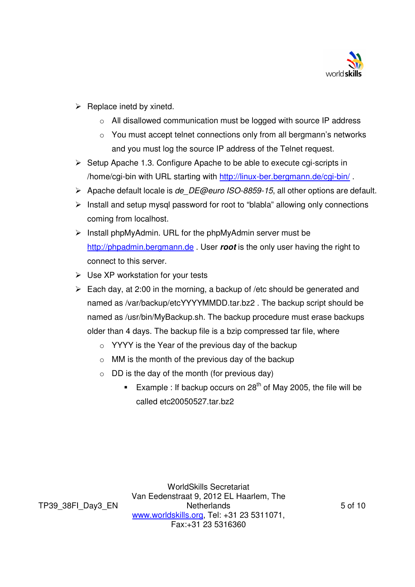

- $\triangleright$  Replace inetd by xinetd.
	- o All disallowed communication must be logged with source IP address
	- o You must accept telnet connections only from all bergmann's networks and you must log the source IP address of the Telnet request.
- $\triangleright$  Setup Apache 1.3. Configure Apache to be able to execute cgi-scripts in /home/cgi-bin with URL starting with http://linux-ber.bergmann.de/cgi-bin/.
- $\triangleright$  Apache default locale is *de DE@euro ISO-8859-15*, all other options are default.
- $\triangleright$  Install and setup mysql password for root to "blabla" allowing only connections coming from localhost.
- $\triangleright$  Install phpMyAdmin. URL for the phpMyAdmin server must be http://phpadmin.bergmann.de . User **root** is the only user having the right to connect to this server.
- $\triangleright$  Use XP workstation for your tests
- $\triangleright$  Each day, at 2:00 in the morning, a backup of /etc should be generated and named as /var/backup/etcYYYYMMDD.tar.bz2 . The backup script should be named as /usr/bin/MyBackup.sh. The backup procedure must erase backups older than 4 days. The backup file is a bzip compressed tar file, where
	- $\circ$  YYYY is the Year of the previous day of the backup
	- $\circ$  MM is the month of the previous day of the backup
	- $\circ$  DD is the day of the month (for previous day)
		- Example : If backup occurs on 28<sup>th</sup> of May 2005, the file will be called etc20050527.tar.bz2

TP39\_38FI\_Day3\_EN

WorldSkills Secretariat Van Eedenstraat 9, 2012 EL Haarlem, The **Netherlands** www.worldskills.org, Tel: +31 23 5311071, Fax:+31 23 5316360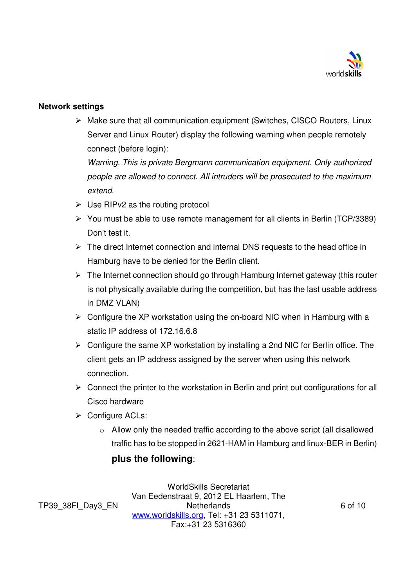

#### **Network settings**

 Make sure that all communication equipment (Switches, CISCO Routers, Linux Server and Linux Router) display the following warning when people remotely connect (before login):

Warning. This is private Bergmann communication equipment. Only authorized people are allowed to connect. All intruders will be prosecuted to the maximum extend.

- $\triangleright$  Use RIPv2 as the routing protocol
- $\triangleright$  You must be able to use remote management for all clients in Berlin (TCP/3389) Don't test it.
- $\triangleright$  The direct Internet connection and internal DNS requests to the head office in Hamburg have to be denied for the Berlin client.
- $\triangleright$  The Internet connection should go through Hamburg Internet gateway (this router is not physically available during the competition, but has the last usable address in DMZ VLAN)
- $\triangleright$  Configure the XP workstation using the on-board NIC when in Hamburg with a static IP address of 172.16.6.8
- $\triangleright$  Configure the same XP workstation by installing a 2nd NIC for Berlin office. The client gets an IP address assigned by the server when using this network connection.
- $\triangleright$  Connect the printer to the workstation in Berlin and print out configurations for all Cisco hardware
- $\triangleright$  Configure ACLs:
	- o Allow only the needed traffic according to the above script (all disallowed traffic has to be stopped in 2621-HAM in Hamburg and linux-BER in Berlin)

## **plus the following**:

TP39\_38FI\_Day3\_EN

WorldSkills Secretariat Van Eedenstraat 9, 2012 EL Haarlem, The **Netherlands** www.worldskills.org, Tel: +31 23 5311071, Fax:+31 23 5316360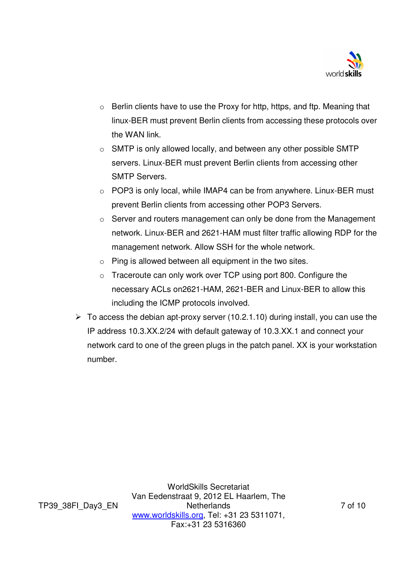

- o Berlin clients have to use the Proxy for http, https, and ftp. Meaning that linux-BER must prevent Berlin clients from accessing these protocols over the WAN link.
- o SMTP is only allowed locally, and between any other possible SMTP servers. Linux-BER must prevent Berlin clients from accessing other SMTP Servers.
- o POP3 is only local, while IMAP4 can be from anywhere. Linux-BER must prevent Berlin clients from accessing other POP3 Servers.
- $\circ$  Server and routers management can only be done from the Management network. Linux-BER and 2621-HAM must filter traffic allowing RDP for the management network. Allow SSH for the whole network.
- o Ping is allowed between all equipment in the two sites.
- o Traceroute can only work over TCP using port 800. Configure the necessary ACLs on2621-HAM, 2621-BER and Linux-BER to allow this including the ICMP protocols involved.
- $\geq$  To access the debian apt-proxy server (10.2.1.10) during install, you can use the IP address 10.3.XX.2/24 with default gateway of 10.3.XX.1 and connect your network card to one of the green plugs in the patch panel. XX is your workstation number.

TP39\_38FI\_Day3\_EN

WorldSkills Secretariat Van Eedenstraat 9, 2012 EL Haarlem, The **Netherlands** www.worldskills.org, Tel: +31 23 5311071, Fax:+31 23 5316360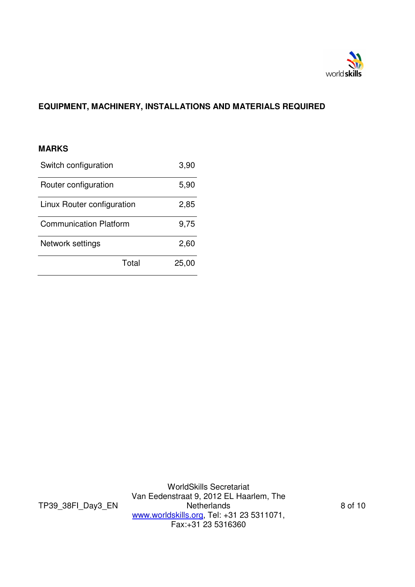

# **EQUIPMENT, MACHINERY, INSTALLATIONS AND MATERIALS REQUIRED**

#### **MARKS**

| Switch configuration          | 3,90  |
|-------------------------------|-------|
| Router configuration          | 5,90  |
| Linux Router configuration    | 2,85  |
| <b>Communication Platform</b> | 9,75  |
| Network settings              | 2,60  |
| Total                         | 25,00 |

TP39\_38FI\_Day3\_EN

WorldSkills Secretariat Van Eedenstraat 9, 2012 EL Haarlem, The **Netherlands** www.worldskills.org, Tel: +31 23 5311071, Fax:+31 23 5316360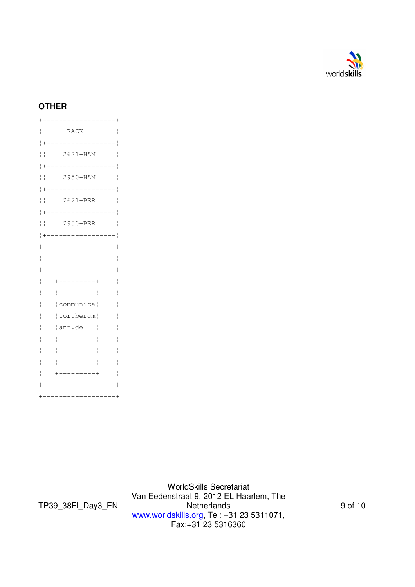

## **OTHER**

|                               | <b>RACK</b>            | i            |
|-------------------------------|------------------------|--------------|
|                               | . _ _ _ _ _ _ _ _      |              |
| ł                             | $2621 - HAM$<br>I      | ļ            |
|                               | $-----+$               |              |
| $\frac{1}{2}$                 | 2950-HAM<br>I          | I            |
|                               | $---$<br>---------+    | I            |
| $\frac{1}{2}$<br>ì            | 2621-BER<br>ł          | $\mathbf{I}$ |
|                               | $--- +$                |              |
| $\overline{\phantom{a}}$<br>I | 2950-BER<br>ł          | $\mathbf{I}$ |
|                               | $\frac{1}{2}$<br>$+  $ |              |
|                               |                        | i            |
|                               |                        |              |
|                               |                        |              |
|                               | $---$                  | I            |
|                               | $\mathbf{I}$<br>ł      | Ï            |
|                               | communica¦<br>I        | İ            |
|                               | tor.bergm              |              |
|                               | ann.de<br>I            |              |
|                               |                        |              |
|                               |                        |              |
|                               |                        |              |
|                               |                        |              |
|                               |                        |              |
|                               |                        |              |
|                               |                        |              |

TP39\_38FI\_Day3\_EN

WorldSkills Secretariat Van Eedenstraat 9, 2012 EL Haarlem, The **Netherlands** www.worldskills.org, Tel: +31 23 5311071, Fax:+31 23 5316360